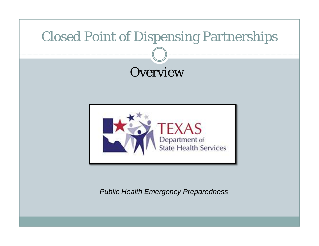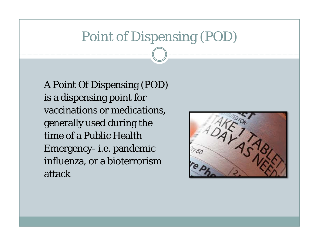#### Point of Dispensing (POD)

A Point Of Dispensing (POD) is a dispensing point for vaccinations or medications, generally used during the time of a Public Health Emergency- i.e. pandemic influenza, or a bioterrorism attack

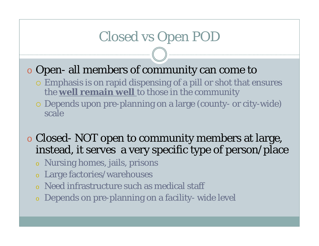# Closed vs Open POD

#### o Open- all members of community can come to

- Emphasis is on rapid dispensing of a pill or shot that ensures the **well remain well** to those in the community
- Depends upon pre-planning on a large (county- or city-wide) scale

o Closed- NOT open to community members at large, instead, it serves a very specific type of person/place

- o Nursing homes, jails, prisons
- o Large factories/warehouses
- o Need infrastructure such as medical staff
- o Depends on pre-planning on a facility- wide level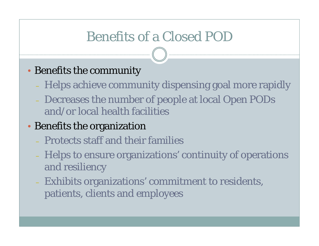### Benefits of a Closed POD

#### •Benefits the community

- Helps achieve community dispensing goal more rapidly
- Decreases the number of people at local Open PODs and/or local health facilities

#### •Benefits the organization

- Protects staff and their families
- Helps to ensure organizations' continuity of operations and resiliency
- Exhibits organizations' commitment to residents, patients, clients and employees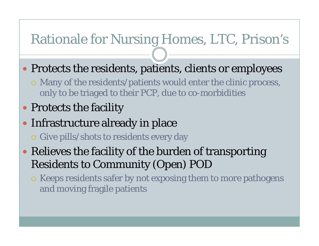# Rationale for Nursing Homes, LTC, Prison's

- Protects the residents, patients, clients or employees
	- Many of the residents/patients would enter the clinic process, only to be triaged to their PCP, due to co-morbidities
- Protects the facility
- Infrastructure already in place
	- Give pills/shots to residents every day
- Relieves the facility of the burden of transporting Residents to Community (Open) POD
	- o Keeps residents safer by not exposing them to more pathogens and moving fragile patients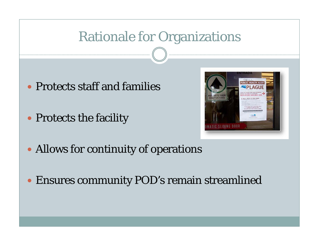### Rationale for Organizations

- Protects staff and families
- Protects the facility



- Allows for continuity of operations
- Ensures community POD's remain streamlined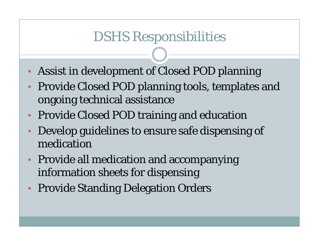#### DSHS Responsibilities

- •Assist in development of Closed POD planning
- • Provide Closed POD planning tools, templates and ongoing technical assistance
- •Provide Closed POD training and education
- • Develop guidelines to ensure safe dispensing of medication
- • Provide all medication and accompanying information sheets for dispensing
- •Provide Standing Delegation Orders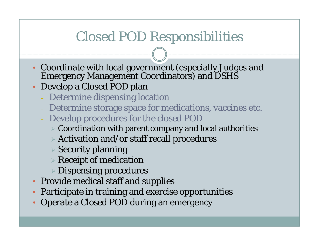### Closed POD Responsibilities

- Coordinate with local government (especially Judges and Emergency Management Coordinators) and DSHS
- Develop a Closed POD plan
	- Determine dispensing location
	- Determine storage space for medications, vaccines etc.
	- Develop procedures for the closed POD
		- $\triangleright$  Coordination with parent company and local authorities
		- $\triangleright$  Activation and/or staff recall procedures
		- Security planning
		- $\triangleright$  Receipt of medication
		- Dispensing procedures
- Provide medical staff and supplies
- •Participate in training and exercise opportunities
- •Operate a Closed POD during an emergency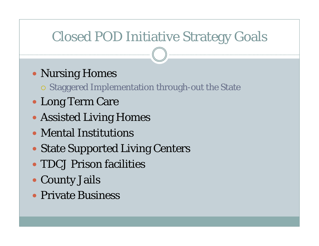# Closed POD Initiative Strategy Goals

Nursing Homes

Staggered Implementation through-out the State

- Long Term Care
- Assisted Living Homes
- Mental Institutions
- State Supported Living Centers
- TDCJ Prison facilities
- County Jails
- Private Business